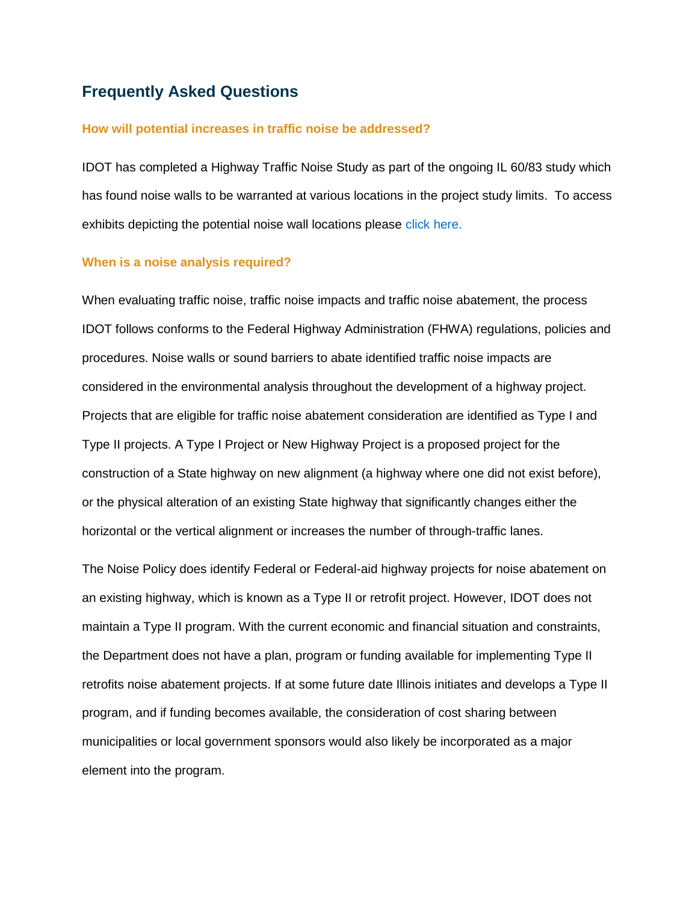# **Frequently Asked Questions**

### **How will potential increases in traffic noise be addressed?**

IDOT has completed a Highway Traffic Noise Study as part of the ongoing IL 60/83 study which has found noise walls to be warranted at various locations in the project study limits. To access exhibits depicting the potential noise wall locations please click here.

### **When is a noise analysis required?**

When evaluating traffic noise, traffic noise impacts and traffic noise abatement, the process IDOT follows conforms to the Federal Highway Administration (FHWA) regulations, policies and procedures. Noise walls or sound barriers to abate identified traffic noise impacts are considered in the environmental analysis throughout the development of a highway project. Projects that are eligible for traffic noise abatement consideration are identified as Type I and Type II projects. A Type I Project or New Highway Project is a proposed project for the construction of a State highway on new alignment (a highway where one did not exist before), or the physical alteration of an existing State highway that significantly changes either the horizontal or the vertical alignment or increases the number of through-traffic lanes.

The Noise Policy does identify Federal or Federal-aid highway projects for noise abatement on an existing highway, which is known as a Type II or retrofit project. However, IDOT does not maintain a Type II program. With the current economic and financial situation and constraints, the Department does not have a plan, program or funding available for implementing Type II retrofits noise abatement projects. If at some future date Illinois initiates and develops a Type II program, and if funding becomes available, the consideration of cost sharing between municipalities or local government sponsors would also likely be incorporated as a major element into the program.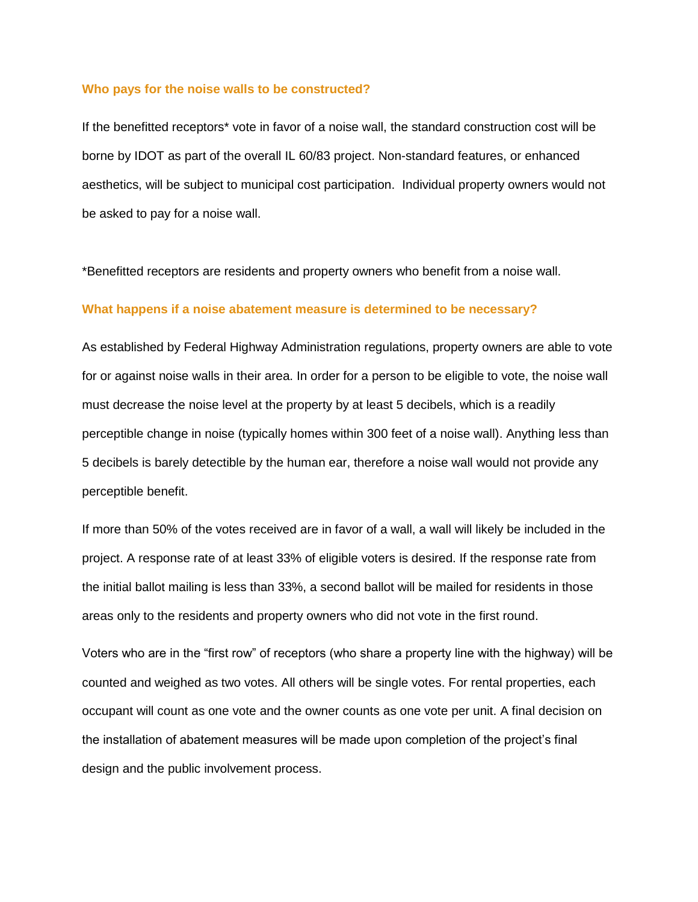### **Who pays for the noise walls to be constructed?**

If the benefitted receptors\* vote in favor of a noise wall, the standard construction cost will be borne by IDOT as part of the overall IL 60/83 project. Non-standard features, or enhanced aesthetics, will be subject to municipal cost participation. Individual property owners would not be asked to pay for a noise wall.

\*Benefitted receptors are residents and property owners who benefit from a noise wall.

#### **What happens if a noise abatement measure is determined to be necessary?**

As established by Federal Highway Administration regulations, property owners are able to vote for or against noise walls in their area. In order for a person to be eligible to vote, the noise wall must decrease the noise level at the property by at least 5 decibels, which is a readily perceptible change in noise (typically homes within 300 feet of a noise wall). Anything less than 5 decibels is barely detectible by the human ear, therefore a noise wall would not provide any perceptible benefit.

If more than 50% of the votes received are in favor of a wall, a wall will likely be included in the project. A response rate of at least 33% of eligible voters is desired. If the response rate from the initial ballot mailing is less than 33%, a second ballot will be mailed for residents in those areas only to the residents and property owners who did not vote in the first round.

Voters who are in the "first row" of receptors (who share a property line with the highway) will be counted and weighed as two votes. All others will be single votes. For rental properties, each occupant will count as one vote and the owner counts as one vote per unit. A final decision on the installation of abatement measures will be made upon completion of the project's final design and the public involvement process.